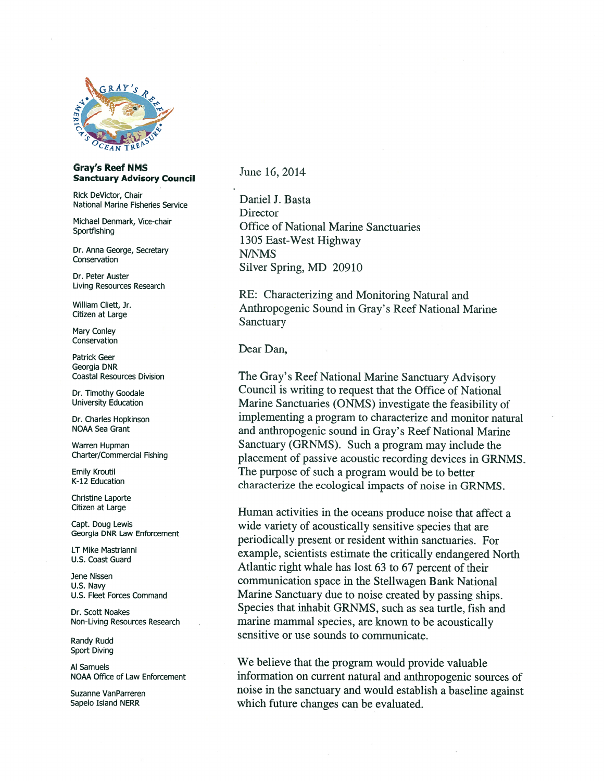

## Gray's Reef NMS<br>
Sanctuary Advisory Council *June* 16, 2014

Rick DeVictor, Chair<br>
National Marine Fisheries Service<br>
Daniel J. Basta

Dr. Anna George, Secretary **N/NMS**<br>
Conservation

Living Resources Research

Mary Conley Conservation

Sport Diving

**Director** Michael Denmark, Vice-chair **Office of National Marine Sanctuaries** Sportfishing 1305 East-West Highway Silver Spring, MD <sup>20910</sup> Dr. Peter Auster

RE: Characterizing and Monitoring Natural and William Cliett, Jr. **Anthropogenic Sound in Gray's Reef National Marine**<br>Citizen at Large Sanctuary

Dear Dan, Patrick Geer

Georgia DNR Coastal Resources Division The Gray' <sup>s</sup> Reef National Marine Sanctuary Advisory Dr. Timothy Goodale Council is writing to request that the Office of National<br>University Education Marine Sanctuaries (ONMS) investigate the feasibility of Dr. Charles Hopkinson implementing a program to characterize and monitor natural NOAA Sea Grant and anthropogenic sound in Gray's Reef National Marine Warren Hupman<br>
Sanctuary (GRNMS). Such a program may include the<br>
charter/Commercial Fishing<br>
conserved passive acquation recording devices in CRN placement of passive acoustic recording devices in GRNMS. Emily Kroutil The purpose of such a program would be to better<br>
K-12 Education characterize the ecological impacts of noise in GRNMS.

Christine Laporte<br>Citizen at Large Human activities in the oceans produce noise that affect a<br>Capt. Doug Lewis wide variety of acoustically sensitive species that are Georgia DNR Law Enforcement<br>
Periodically present or resident within sanctuaries. For<br>
LT Mike Mastrianni LT Mike Mastrianni example, scientists estimate the critically endangered North U.S. Coast Guard<br>U.S. Coast Guard Atlantic right whale has lost 63 to 67 percent of their Jene Nissen<br>U.S. Navy **Example 23 to 63 and 1999** communication space in the Stellwagen Bank National U.S. Fleet Forces Command Marine Sanctuary due to noise created by passing ships. Dr. Scott Noakes Species that inhabit GRNMS, such as sea turtle, fish and Non-Living Resources Research marine mammal species, are known to be acoustically sensitive or use sounds to communicate. Randy Rudd

Al Samuels<br>Al Samuels We believe that the program would provide valuable NOAA Office of Law Enforcement information on current natural and anthropogenic sources of Suzanne VanParreren **noise in the sanctuary and would establish a baseline against** Sapelo Island NERR which future changes can be evaluated.